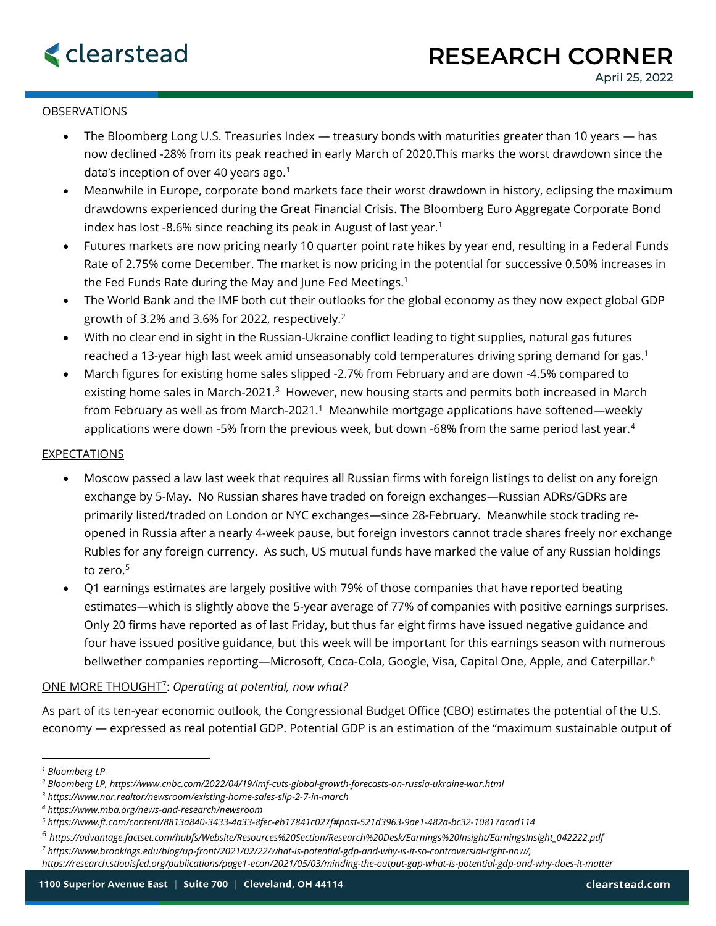## OBSERVATIONS

- The Bloomberg Long U.S. Treasuries Index treasury bonds with maturities greater than 10 years has now declined -28% from its peak reached in early March of 2020.This marks the worst drawdown since the data's inception of over 40 years ago.<sup>1</sup>
- Meanwhile in Europe, corporate bond markets face their worst drawdown in history, eclipsing the maximum drawdowns experienced during the Great Financial Crisis. The Bloomberg Euro Aggregate Corporate Bond index has lost -8.6% since reaching its peak in August of last year.<sup>1</sup>
- Futures markets are now pricing nearly 10 quarter point rate hikes by year end, resulting in a Federal Funds Rate of 2.75% come December. The market is now pricing in the potential for successive 0.50% increases in the Fed Funds Rate during the May and June Fed Meetings. 1
- The World Bank and the IMF both cut their outlooks for the global economy as they now expect global GDP growth of 3.2% and 3.6% for 2022, respectively.<sup>2</sup>
- With no clear end in sight in the Russian-Ukraine conflict leading to tight supplies, natural gas futures reached a 13-year high last week amid unseasonably cold temperatures driving spring demand for gas. 1
- March figures for existing home sales slipped -2.7% from February and are down -4.5% compared to existing home sales in March-2021. $^3$  However, new housing starts and permits both increased in March from February as well as from March-2021. $^1$  Meanwhile mortgage applications have softened—weekly applications were down -5% from the previous week, but down -68% from the same period last year.<sup>4</sup>

## EXPECTATIONS

- Moscow passed a law last week that requires all Russian firms with foreign listings to delist on any foreign exchange by 5-May. No Russian shares have traded on foreign exchanges—Russian ADRs/GDRs are primarily listed/traded on London or NYC exchanges—since 28-February. Meanwhile stock trading reopened in Russia after a nearly 4-week pause, but foreign investors cannot trade shares freely nor exchange Rubles for any foreign currency. As such, US mutual funds have marked the value of any Russian holdings to zero.<sup>5</sup>
- Q1 earnings estimates are largely positive with 79% of those companies that have reported beating estimates—which is slightly above the 5-year average of 77% of companies with positive earnings surprises. Only 20 firms have reported as of last Friday, but thus far eight firms have issued negative guidance and four have issued positive guidance, but this week will be important for this earnings season with numerous bellwether companies reporting—Microsoft, Coca-Cola, Google, Visa, Capital One, Apple, and Caterpillar.<sup>6</sup>

## ONE MORE THOUGHT<sup>7</sup> : *Operating at potential, now what?*

As part of its ten-year economic outlook, the Congressional Budget Office (CBO) estimates the potential of the U.S. economy — expressed as real potential GDP. Potential GDP is an estimation of the "maximum sustainable output of

*<sup>7</sup> https://www.brookings.edu/blog/up-front/2021/02/22/what-is-potential-gdp-and-why-is-it-so-controversial-right-now/,* 

*<sup>1</sup> Bloomberg LP*

*<sup>2</sup> Bloomberg LP, https://www.cnbc.com/2022/04/19/imf-cuts-global-growth-forecasts-on-russia-ukraine-war.html*

*<sup>3</sup> https://www.nar.realtor/newsroom/existing-home-sales-slip-2-7-in-march*

*<sup>4</sup> https://www.mba.org/news-and-research/newsroom*

*<sup>5</sup> https://www.ft.com/content/8813a840-3433-4a33-8fec-eb17841c027f#post-521d3963-9ae1-482a-bc32-10817acad114*

<sup>6</sup> *https://advantage.factset.com/hubfs/Website/Resources%20Section/Research%20Desk/Earnings%20Insight/EarningsInsight\_042222.pdf*

*https://research.stlouisfed.org/publications/page1-econ/2021/05/03/minding-the-output-gap-what-is-potential-gdp-and-why-does-it-matter*